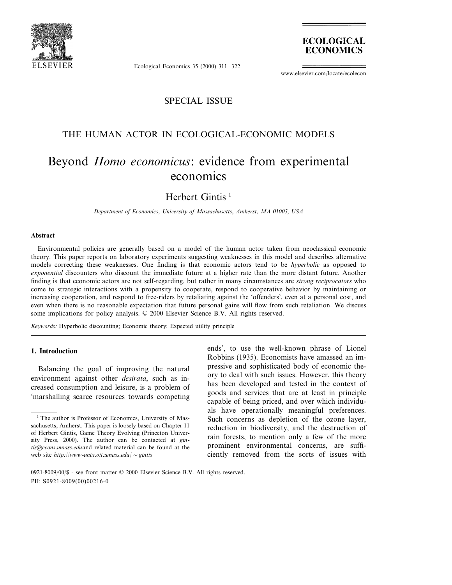

Ecological Economics 35 (2000) 311–322



www.elsevier.com/locate/ecolecon

# SPECIAL ISSUE

# THE HUMAN ACTOR IN ECOLOGICAL-ECONOMIC MODELS

# Beyond *Homo economicus*: evidence from experimental economics

Herbert Gintis<sup>1</sup>

*Department of Economics, University of Massachusetts, Amherst, MA 01003, USA* 

## **Abstract**

Environmental policies are generally based on a model of the human actor taken from neoclassical economic theory. This paper reports on laboratory experiments suggesting weaknesses in this model and describes alternative models correcting these weaknesses. One finding is that economic actors tend to be *hyperbolic* as opposed to *exponential* discounters who discount the immediate future at a higher rate than the more distant future. Another finding is that economic actors are not self-regarding, but rather in many circumstances are *strong reciprocators* who come to strategic interactions with a propensity to cooperate, respond to cooperative behavior by maintaining or increasing cooperation, and respond to free-riders by retaliating against the 'offenders', even at a personal cost, and even when there is no reasonable expectation that future personal gains will flow from such retaliation. We discuss some implications for policy analysis. © 2000 Elsevier Science B.V. All rights reserved.

*Keywords*: Hyperbolic discounting; Economic theory; Expected utility principle

# **1. Introduction**

Balancing the goal of improving the natural environment against other *desirata*, such as increased consumption and leisure, is a problem of 'marshalling scarce resources towards competing

ends', to use the well-known phrase of Lionel Robbins (1935). Economists have amassed an impressive and sophisticated body of economic theory to deal with such issues. However, this theory has been developed and tested in the context of goods and services that are at least in principle capable of being priced, and over which individuals have operationally meaningful preferences. Such concerns as depletion of the ozone layer, reduction in biodiversity, and the destruction of rain forests, to mention only a few of the more prominent environmental concerns, are sufficiently removed from the sorts of issues with

<sup>&</sup>lt;sup>1</sup> The author is Professor of Economics, University of Massachusetts, Amherst. This paper is loosely based on Chapter 11 of Herbert Gintis, Game Theory Evolving (Princeton University Press, 2000). The author can be contacted at *gintis@econs*.*umass*.*edu*and related material can be found at the web site *http*://*www*-*unix*.*oit*.*umass*.*edu*/-*gintis*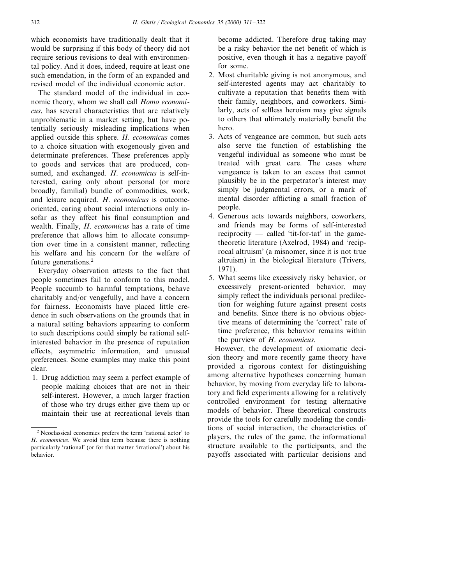which economists have traditionally dealt that it would be surprising if this body of theory did not require serious revisions to deal with environmental policy. And it does, indeed, require at least one such emendation, in the form of an expanded and revised model of the individual economic actor.

The standard model of the individual in economic theory, whom we shall call *Homo economicus*, has several characteristics that are relatively unproblematic in a market setting, but have potentially seriously misleading implications when applied outside this sphere. *H*. *economicus* comes to a choice situation with exogenously given and determinate preferences. These preferences apply to goods and services that are produced, consumed, and exchanged. *H*. *economicus* is self-interested, caring only about personal (or more broadly, familial) bundle of commodities, work, and leisure acquired. *H*. *economicus* is outcomeoriented, caring about social interactions only insofar as they affect his final consumption and wealth. Finally, *H*. *economicus* has a rate of time preference that allows him to allocate consumption over time in a consistent manner, reflecting his welfare and his concern for the welfare of future generations.<sup>2</sup>

Everyday observation attests to the fact that people sometimes fail to conform to this model. People succumb to harmful temptations, behave charitably and/or vengefully, and have a concern for fairness. Economists have placed little credence in such observations on the grounds that in a natural setting behaviors appearing to conform to such descriptions could simply be rational selfinterested behavior in the presence of reputation effects, asymmetric information, and unusual preferences. Some examples may make this point clear.

1. Drug addiction may seem a perfect example of people making choices that are not in their self-interest. However, a much larger fraction of those who try drugs either give them up or maintain their use at recreational levels than

become addicted. Therefore drug taking may be a risky behavior the net benefit of which is positive, even though it has a negative payoff for some.

- 2. Most charitable giving is not anonymous, and self-interested agents may act charitably to cultivate a reputation that benefits them with their family, neighbors, and coworkers. Similarly, acts of selfless heroism may give signals to others that ultimately materially benefit the hero.
- 3. Acts of vengeance are common, but such acts also serve the function of establishing the vengeful individual as someone who must be treated with great care. The cases where vengeance is taken to an excess that cannot plausibly be in the perpetrator's interest may simply be judgmental errors, or a mark of mental disorder afflicting a small fraction of people.
- 4. Generous acts towards neighbors, coworkers, and friends may be forms of self-interested reciprocity — called 'tit-for-tat' in the gametheoretic literature (Axelrod, 1984) and 'reciprocal altruism' (a misnomer, since it is not true altruism) in the biological literature (Trivers, 1971).
- 5. What seems like excessively risky behavior, or excessively present-oriented behavior, may simply reflect the individuals personal predilection for weighing future against present costs and benefits. Since there is no obvious objective means of determining the 'correct' rate of time preference, this behavior remains within the purview of *H*. *economicus*.

However, the development of axiomatic decision theory and more recently game theory have provided a rigorous context for distinguishing among alternative hypotheses concerning human behavior, by moving from everyday life to laboratory and field experiments allowing for a relatively controlled environment for testing alternative models of behavior. These theoretical constructs provide the tools for carefully modeling the conditions of social interaction, the characteristics of players, the rules of the game, the informational structure available to the participants, and the payoffs associated with particular decisions and

<sup>2</sup> Neoclassical economics prefers the term 'rational actor' to *H*. *economicus*. We avoid this term because there is nothing particularly 'rational' (or for that matter 'irrational') about his behavior.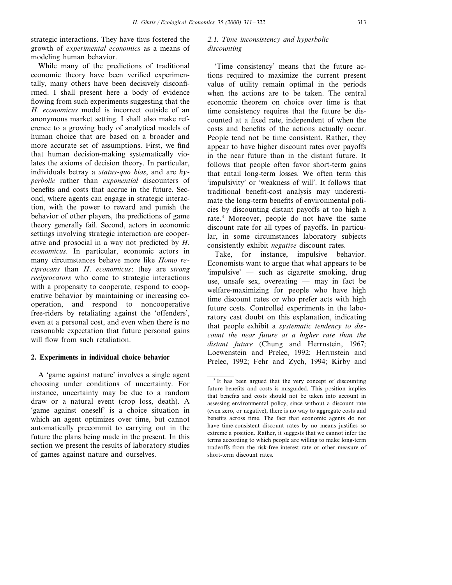strategic interactions. They have thus fostered the growth of *experimental economics* as a means of modeling human behavior.

While many of the predictions of traditional economic theory have been verified experimentally, many others have been decisively disconfirmed. I shall present here a body of evidence flowing from such experiments suggesting that the *H*. *economicus* model is incorrect outside of an anonymous market setting. I shall also make reference to a growing body of analytical models of human choice that are based on a broader and more accurate set of assumptions. First, we find that human decision-making systematically violates the axioms of decision theory. In particular, individuals betray a *status*-*quo bias*, and are *hyperbolic* rather than *exponential* discounters of benefits and costs that accrue in the future. Second, where agents can engage in strategic interaction, with the power to reward and punish the behavior of other players, the predictions of game theory generally fail. Second, actors in economic settings involving strategic interaction are cooperative and prosocial in a way not predicted by *H*. *economicus*. In particular, economic actors in many circumstances behave more like *Homo reciprocans* than *H*. *economicus*: they are *strong reciprocators* who come to strategic interactions with a propensity to cooperate, respond to cooperative behavior by maintaining or increasing cooperation, and respond to noncooperative free-riders by retaliating against the 'offenders', even at a personal cost, and even when there is no reasonable expectation that future personal gains will flow from such retaliation.

#### **2. Experiments in individual choice behavior**

A 'game against nature' involves a single agent choosing under conditions of uncertainty. For instance, uncertainty may be due to a random draw or a natural event (crop loss, death). A 'game against oneself' is a choice situation in which an agent optimizes over time, but cannot automatically precommit to carrying out in the future the plans being made in the present. In this section we present the results of laboratory studies of games against nature and ourselves.

# <sup>2</sup>.1. *Time inconsistency and hyperbolic discounting*

'Time consistency' means that the future actions required to maximize the current present value of utility remain optimal in the periods when the actions are to be taken. The central economic theorem on choice over time is that time consistency requires that the future be discounted at a fixed rate, independent of when the costs and benefits of the actions actually occur. People tend not be time consistent. Rather, they appear to have higher discount rates over payoffs in the near future than in the distant future. It follows that people often favor short-term gains that entail long-term losses. We often term this 'impulsivity' or 'weakness of will'. It follows that traditional benefit-cost analysis may underestimate the long-term benefits of environmental policies by discounting distant payoffs at too high a rate.3 Moreover, people do not have the same discount rate for all types of payoffs. In particular, in some circumstances laboratory subjects consistently exhibit *negative* discount rates.

Take, for instance, impulsive behavior. Economists want to argue that what appears to be 'impulsive' — such as cigarette smoking, drug use, unsafe sex, overeating — may in fact be welfare-maximizing for people who have high time discount rates or who prefer acts with high future costs. Controlled experiments in the laboratory cast doubt on this explanation, indicating that people exhibit a *systematic tendency to discount the near future at a higher rate than the distant future* (Chung and Herrnstein, 1967; Loewenstein and Prelec, 1992; Herrnstein and Prelec, 1992; Fehr and Zych, 1994; Kirby and

<sup>&</sup>lt;sup>3</sup> It has been argued that the very concept of discounting future benefits and costs is misguided. This position implies that benefits and costs should not be taken into account in assessing environmental policy, since without a discount rate (even zero, or negative), there is no way to aggregate costs and benefits across time. The fact that economic agents do not have time-consistent discount rates by no means justifies so extreme a position. Rather, it suggests that we cannot infer the terms according to which people are willing to make long-term tradeoffs from the risk-free interest rate or other measure of short-term discount rates.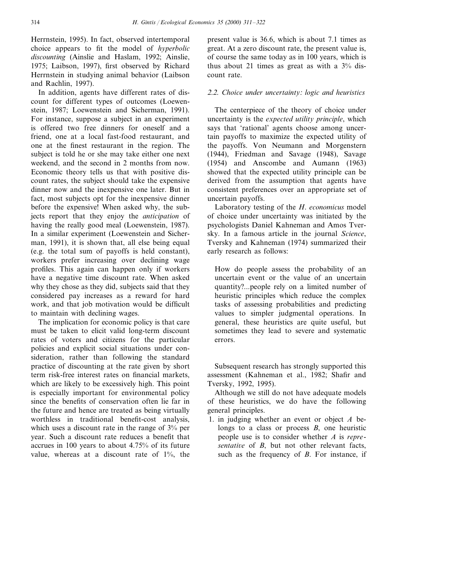Herrnstein, 1995). In fact, observed intertemporal choice appears to fit the model of *hyperbolic discounting* (Ainslie and Haslam, 1992; Ainslie, 1975; Laibson, 1997), first observed by Richard Herrnstein in studying animal behavior (Laibson and Rachlin, 1997).

In addition, agents have different rates of discount for different types of outcomes (Loewenstein, 1987; Loewenstein and Sicherman, 1991). For instance, suppose a subject in an experiment is offered two free dinners for oneself and a friend, one at a local fast-food restaurant, and one at the finest restaurant in the region. The subject is told he or she may take either one next weekend, and the second in 2 months from now. Economic theory tells us that with positive discount rates, the subject should take the expensive dinner now and the inexpensive one later. But in fact, most subjects opt for the inexpensive dinner before the expensive! When asked why, the subjects report that they enjoy the *anticipation* of having the really good meal (Loewenstein, 1987). In a similar experiment (Loewenstein and Sicherman, 1991), it is shown that, all else being equal (e.g. the total sum of payoffs is held constant), workers prefer increasing over declining wage profiles. This again can happen only if workers have a negative time discount rate. When asked why they chose as they did, subjects said that they considered pay increases as a reward for hard work, and that job motivation would be difficult to maintain with declining wages.

The implication for economic policy is that care must be taken to elicit valid long-term discount rates of voters and citizens for the particular policies and explicit social situations under consideration, rather than following the standard practice of discounting at the rate given by short term risk-free interest rates on financial markets, which are likely to be excessively high. This point is especially important for environmental policy since the benefits of conservation often lie far in the future and hence are treated as being virtually worthless in traditional benefit-cost analysis, which uses a discount rate in the range of 3% per year. Such a discount rate reduces a benefit that accrues in 100 years to about 4.75% of its future value, whereas at a discount rate of 1%, the present value is 36.6, which is about 7.1 times as great. At a zero discount rate, the present value is, of course the same today as in 100 years, which is thus about 21 times as great as with a  $3\%$  discount rate.

# <sup>2</sup>.2. *Choice under uncertainty*: *logic and heuristics*

The centerpiece of the theory of choice under uncertainty is the *expected utility principle*, which says that 'rational' agents choose among uncertain payoffs to maximize the expected utility of the payoffs. Von Neumann and Morgenstern (1944), Friedman and Savage (1948), Savage (1954) and Anscombe and Aumann (1963) showed that the expected utility principle can be derived from the assumption that agents have consistent preferences over an appropriate set of uncertain payoffs.

Laboratory testing of the *H*. *economicus* model of choice under uncertainty was initiated by the psychologists Daniel Kahneman and Amos Tversky. In a famous article in the journal *Science*, Tversky and Kahneman (1974) summarized their early research as follows:

How do people assess the probability of an uncertain event or the value of an uncertain quantity?...people rely on a limited number of heuristic principles which reduce the complex tasks of assessing probabilities and predicting values to simpler judgmental operations. In general, these heuristics are quite useful, but sometimes they lead to severe and systematic errors.

Subsequent research has strongly supported this assessment (Kahneman et al., 1982; Shafir and Tversky, 1992, 1995).

Although we still do not have adequate models of these heuristics, we do have the following general principles.

1. in judging whether an event or object *A* belongs to a class or process *B*, one heuristic people use is to consider whether *A* is *representative* of *B*, but not other relevant facts, such as the frequency of *B*. For instance, if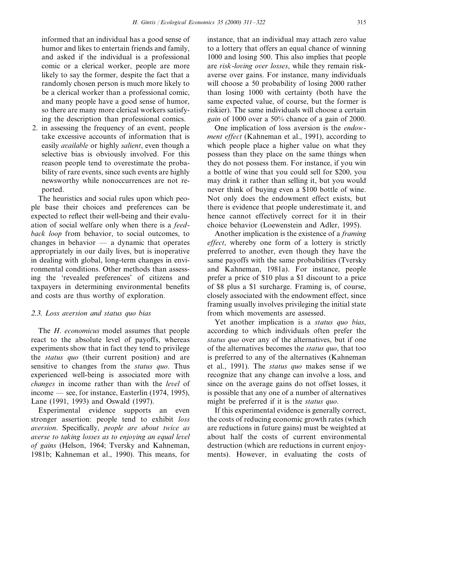informed that an individual has a good sense of humor and likes to entertain friends and family, and asked if the individual is a professional comic or a clerical worker, people are more likely to say the former, despite the fact that a randomly chosen person is much more likely to be a clerical worker than a professional comic, and many people have a good sense of humor, so there are many more clerical workers satisfying the description than professional comics.

2. in assessing the frequency of an event, people take excessive accounts of information that is easily *available* or highly *salient*, even though a selective bias is obviously involved. For this reason people tend to overestimate the probability of rare events, since such events are highly newsworthy while nonoccurrences are not reported.

The heuristics and social rules upon which people base their choices and preferences can be expected to reflect their well-being and their evaluation of social welfare only when there is a *feedback loop* from behavior, to social outcomes, to changes in behavior — a dynamic that operates appropriately in our daily lives, but is inoperative in dealing with global, long-term changes in environmental conditions. Other methods than assessing the 'revealed preferences' of citizens and taxpayers in determining environmental benefits and costs are thus worthy of exploration.

# 2.3. Loss aversion and status quo bias

The *H*. *economicus* model assumes that people react to the absolute level of payoffs, whereas experiments show that in fact they tend to privilege the *status quo* (their current position) and are sensitive to changes from the *status quo*. Thus experienced well-being is associated more with *changes* in income rather than with the *level* of income — see, for instance, Easterlin (1974, 1995), Lane (1991, 1993) and Oswald (1997).

Experimental evidence supports an even stronger assertion: people tend to exhibit *loss a*6*ersion*. Specifically, *people are about twice as averse to taking losses as to enjoying an equal level of gains* (Helson, 1964; Tversky and Kahneman, 1981b; Kahneman et al., 1990). This means, for

instance, that an individual may attach zero value to a lottery that offers an equal chance of winning 1000 and losing 500. This also implies that people are *risk*-*loving over losses*, while they remain riskaverse over gains. For instance, many individuals will choose a 50 probability of losing 2000 rather than losing 1000 with certainty (both have the same expected value, of course, but the former is riskier). The same individuals will choose a certain *gain* of 1000 over a 50% chance of a gain of 2000.

One implication of loss aversion is the *endowment effect* (Kahneman et al., 1991), according to which people place a higher value on what they possess than they place on the same things when they do not possess them. For instance, if you win a bottle of wine that you could sell for \$200, you may drink it rather than selling it, but you would never think of buying even a \$100 bottle of wine. Not only does the endowment effect exists, but there is evidence that people underestimate it, and hence cannot effectively correct for it in their choice behavior (Loewenstein and Adler, 1995).

Another implication is the existence of a *framing effect*, whereby one form of a lottery is strictly preferred to another, even though they have the same payoffs with the same probabilities (Tversky and Kahneman, 1981a). For instance, people prefer a price of \$10 plus a \$1 discount to a price of \$8 plus a \$1 surcharge. Framing is, of course, closely associated with the endowment effect, since framing usually involves privileging the initial state from which movements are assessed.

Yet another implication is a *status quo bias*, according to which individuals often prefer the *status quo* over any of the alternatives, but if one of the alternatives becomes the *status quo*, that too is preferred to any of the alternatives (Kahneman et al., 1991). The *status quo* makes sense if we recognize that any change can involve a loss, and since on the average gains do not offset losses, it is possible that any one of a number of alternatives might be preferred if it is the *status quo*.

If this experimental evidence is generally correct, the costs of reducing economic growth rates (which are reductions in future gains) must be weighted at about half the costs of current environmental destruction (which are reductions in current enjoyments). However, in evaluating the costs of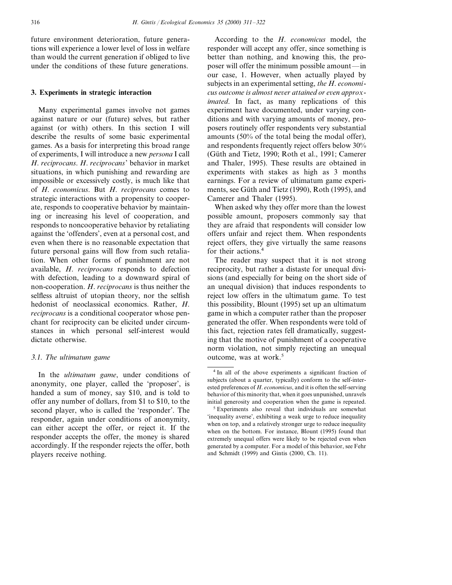future environment deterioration, future generations will experience a lower level of loss in welfare than would the current generation if obliged to live under the conditions of these future generations.

#### **3. Experiments in strategic interaction**

Many experimental games involve not games against nature or our (future) selves, but rather against (or with) others. In this section I will describe the results of some basic experimental games. As a basis for interpreting this broad range of experiments, I will introduce a new *persona* I call *H*. *reciprocans*. *H*. *reciprocans*' behavior in market situations, in which punishing and rewarding are impossible or excessively costly, is much like that of *H*. *economicus*. But *H*. *reciprocans* comes to strategic interactions with a propensity to cooperate, responds to cooperative behavior by maintaining or increasing his level of cooperation, and responds to noncooperative behavior by retaliating against the 'offenders', even at a personal cost, and even when there is no reasonable expectation that future personal gains will flow from such retaliation. When other forms of punishment are not available, *H*. *reciprocans* responds to defection with defection, leading to a downward spiral of non-cooperation. *H*. *reciprocans* is thus neither the selfless altruist of utopian theory, nor the selfish hedonist of neoclassical economics. Rather, *H*. *reciprocans* is a conditional cooperator whose penchant for reciprocity can be elicited under circumstances in which personal self-interest would dictate otherwise.

#### 3.1. *The ultimatum game*

In the *ultimatum game*, under conditions of anonymity, one player, called the 'proposer', is handed a sum of money, say \$10, and is told to offer any number of dollars, from \$1 to \$10, to the second player, who is called the 'responder'. The responder, again under conditions of anonymity, can either accept the offer, or reject it. If the responder accepts the offer, the money is shared accordingly. If the responder rejects the offer, both players receive nothing.

According to the *H*. *economicus* model, the responder will accept any offer, since something is better than nothing, and knowing this, the proposer will offer the minimum possible amount—in our case, 1. However, when actually played by subjects in an experimental setting, *the H*. *economicus outcome is almost never attained or even approximated*. In fact, as many replications of this experiment have documented, under varying conditions and with varying amounts of money, proposers routinely offer respondents very substantial amounts (50% of the total being the modal offer), and respondents frequently reject offers below 30% (Güth and Tietz, 1990; Roth et al., 1991; Camerer and Thaler, 1995). These results are obtained in experiments with stakes as high as 3 months earnings. For a review of ultimatum game experiments, see Güth and Tietz (1990), Roth (1995), and Camerer and Thaler (1995).

When asked why they offer more than the lowest possible amount, proposers commonly say that they are afraid that respondents will consider low offers unfair and reject them. When respondents reject offers, they give virtually the same reasons for their actions.<sup>4</sup>

The reader may suspect that it is not strong reciprocity, but rather a distaste for unequal divisions (and especially for being on the short side of an unequal division) that induces respondents to reject low offers in the ultimatum game. To test this possibility, Blount (1995) set up an ultimatum game in which a computer rather than the proposer generated the offer. When respondents were told of this fact, rejection rates fell dramatically, suggesting that the motive of punishment of a cooperative norm violation, not simply rejecting an unequal outcome, was at work.5

<sup>4</sup> In all of the above experiments a significant fraction of subjects (about a quarter, typically) conform to the self-interested preferences of *H*. *economicus*, and it is often the self-serving behavior of this minority that, when it goes unpunished, unravels initial generosity and cooperation when the game is repeated.

<sup>5</sup> Experiments also reveal that individuals are somewhat 'inequality averse', exhibiting a weak urge to reduce inequality when on top, and a relatively stronger urge to reduce inequality when on the bottom. For instance, Blount (1995) found that extremely unequal offers were likely to be rejected even when generated by a computer. For a model of this behavior, see Fehr and Schmidt (1999) and Gintis (2000, Ch. 11).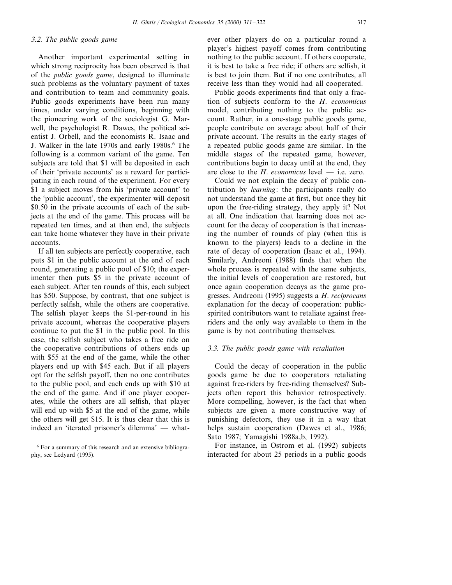# 3.2. *The public goods game*

Another important experimental setting in which strong reciprocity has been observed is that of the *public goods game*, designed to illuminate such problems as the voluntary payment of taxes and contribution to team and community goals. Public goods experiments have been run many times, under varying conditions, beginning with the pioneering work of the sociologist G. Marwell, the psychologist R. Dawes, the political scientist J. Orbell, and the economists R. Isaac and J. Walker in the late 1970s and early 1980s.<sup>6</sup> The following is a common variant of the game. Ten subjects are told that \$1 will be deposited in each of their 'private accounts' as a reward for participating in each round of the experiment. For every \$1 a subject moves from his 'private account' to the 'public account', the experimenter will deposit \$0.50 in the private accounts of each of the subjects at the end of the game. This process will be repeated ten times, and at then end, the subjects can take home whatever they have in their private accounts.

If all ten subjects are perfectly cooperative, each puts \$1 in the public account at the end of each round, generating a public pool of \$10; the experimenter then puts \$5 in the private account of each subject. After ten rounds of this, each subject has \$50. Suppose, by contrast, that one subject is perfectly selfish, while the others are cooperative. The selfish player keeps the \$1-per-round in his private account, whereas the cooperative players continue to put the \$1 in the public pool. In this case, the selfish subject who takes a free ride on the cooperative contributions of others ends up with \$55 at the end of the game, while the other players end up with \$45 each. But if all players opt for the selfish payoff, then no one contributes to the public pool, and each ends up with \$10 at the end of the game. And if one player cooperates, while the others are all selfish, that player will end up with \$5 at the end of the game, while the others will get \$15. It is thus clear that this is indeed an 'iterated prisoner's dilemma' — whatever other players do on a particular round a player's highest payoff comes from contributing nothing to the public account. If others cooperate, it is best to take a free ride; if others are selfish, it is best to join them. But if no one contributes, all receive less than they would had all cooperated.

Public goods experiments find that only a fraction of subjects conform to the *H*. *economicus* model, contributing nothing to the public account. Rather, in a one-stage public goods game, people contribute on average about half of their private account. The results in the early stages of a repeated public goods game are similar. In the middle stages of the repeated game, however, contributions begin to decay until at the end, they are close to the *H*. *economicus* level — i.e. zero.

Could we not explain the decay of public contribution by *learning*: the participants really do not understand the game at first, but once they hit upon the free-riding strategy, they apply it? Not at all. One indication that learning does not account for the decay of cooperation is that increasing the number of rounds of play (when this is known to the players) leads to a decline in the rate of decay of cooperation (Isaac et al., 1994). Similarly, Andreoni (1988) finds that when the whole process is repeated with the same subjects, the initial levels of cooperation are restored, but once again cooperation decays as the game progresses. Andreoni (1995) suggests a *H*. *reciprocans* explanation for the decay of cooperation: publicspirited contributors want to retaliate against freeriders and the only way available to them in the game is by not contributing themselves.

# 3.3. *The public goods game with retaliation*

Could the decay of cooperation in the public goods game be due to cooperators retaliating against free-riders by free-riding themselves? Subjects often report this behavior retrospectively. More compelling, however, is the fact that when subjects are given a more constructive way of punishing defectors, they use it in a way that helps sustain cooperation (Dawes et al., 1986; Sato 1987; Yamagishi 1988a,b, 1992).

For instance, in Ostrom et al. (1992) subjects interacted for about 25 periods in a public goods

<sup>6</sup> For a summary of this research and an extensive bibliography, see Ledyard (1995).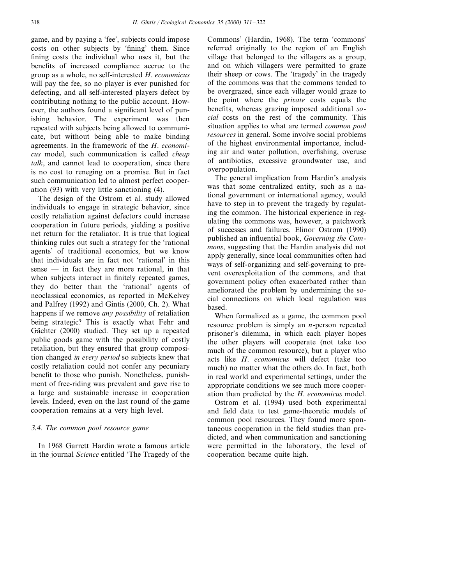game, and by paying a 'fee', subjects could impose costs on other subjects by 'fining' them. Since fining costs the individual who uses it, but the benefits of increased compliance accrue to the group as a whole, no self-interested *H*. *economicus* will pay the fee, so no player is ever punished for defecting, and all self-interested players defect by contributing nothing to the public account. However, the authors found a significant level of punishing behavior. The experiment was then repeated with subjects being allowed to communicate, but without being able to make binding agreements. In the framework of the *H*. *economicus* model, such communication is called *cheap talk*, and cannot lead to cooperation, since there is no cost to reneging on a promise. But in fact such communication led to almost perfect cooperation (93) with very little sanctioning (4).

The design of the Ostrom et al. study allowed individuals to engage in strategic behavior, since costly retaliation against defectors could increase cooperation in future periods, yielding a positive net return for the retaliator. It is true that logical thinking rules out such a strategy for the 'rational agents' of traditional economics, but we know that individuals are in fact not 'rational' in this sense — in fact they are more rational, in that when subjects interact in finitely repeated games, they do better than the 'rational' agents of neoclassical economics, as reported in McKelvey and Palfrey (1992) and Gintis (2000, Ch. 2). What happens if we remove *any possibility* of retaliation being strategic? This is exactly what Fehr and Gächter (2000) studied. They set up a repeated public goods game with the possibility of costly retaliation, but they ensured that group composition changed *in every period* so subjects knew that costly retaliation could not confer any pecuniary benefit to those who punish. Nonetheless, punishment of free-riding was prevalent and gave rise to a large and sustainable increase in cooperation levels. Indeed, even on the last round of the game cooperation remains at a very high level.

# 3.4. *The common pool resource game*

In 1968 Garrett Hardin wrote a famous article in the journal *Science* entitled 'The Tragedy of the

Commons' (Hardin, 1968). The term 'commons' referred originally to the region of an English village that belonged to the villagers as a group, and on which villagers were permitted to graze their sheep or cows. The 'tragedy' in the tragedy of the commons was that the commons tended to be overgrazed, since each villager would graze to the point where the *private* costs equals the benefits, whereas grazing imposed additional *social* costs on the rest of the community. This situation applies to what are termed *common pool resources* in general. Some involve social problems of the highest environmental importance, including air and water pollution, overfishing, overuse of antibiotics, excessive groundwater use, and overpopulation.

The general implication from Hardin's analysis was that some centralized entity, such as a national government or international agency, would have to step in to prevent the tragedy by regulating the common. The historical experience in regulating the commons was, however, a patchwork of successes and failures. Elinor Ostrom (1990) published an influential book, *Governing the Commons*, suggesting that the Hardin analysis did not apply generally, since local communities often had ways of self-organizing and self-governing to prevent overexploitation of the commons, and that government policy often exacerbated rather than ameliorated the problem by undermining the social connections on which local regulation was based.

When formalized as a game, the common pool resource problem is simply an *n*-person repeated prisoner's dilemma, in which each player hopes the other players will cooperate (not take too much of the common resource), but a player who acts like *H*. *economicus* will defect (take too much) no matter what the others do. In fact, both in real world and experimental settings, under the appropriate conditions we see much more cooperation than predicted by the *H*. *economicus* model.

Ostrom et al. (1994) used both experimental and field data to test game-theoretic models of common pool resources. They found more spontaneous cooperation in the field studies than predicted, and when communication and sanctioning were permitted in the laboratory, the level of cooperation became quite high.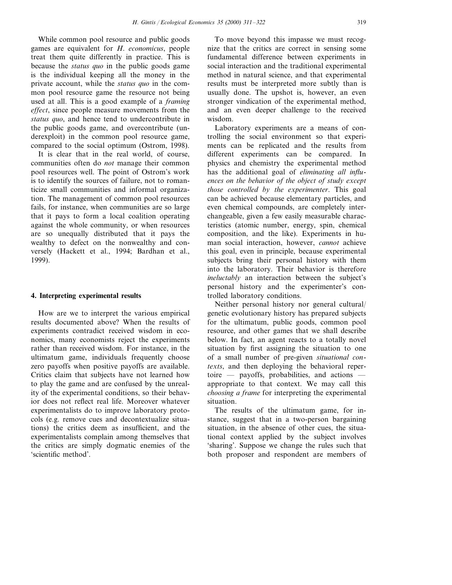While common pool resource and public goods games are equivalent for *H*. *economicus*, people treat them quite differently in practice. This is because the *status quo* in the public goods game is the individual keeping all the money in the private account, while the *status quo* in the common pool resource game the resource not being used at all. This is a good example of a *framing effect*, since people measure movements from the *status quo*, and hence tend to undercontribute in the public goods game, and overcontribute (underexploit) in the common pool resource game, compared to the social optimum (Ostrom, 1998).

It is clear that in the real world, of course, communities often do *not* manage their common pool resources well. The point of Ostrom's work is to identify the sources of failure, not to romanticize small communities and informal organization. The management of common pool resources fails, for instance, when communities are so large that it pays to form a local coalition operating against the whole community, or when resources are so unequally distributed that it pays the wealthy to defect on the nonwealthy and conversely (Hackett et al., 1994; Bardhan et al., 1999).

# **4. Interpreting experimental results**

How are we to interpret the various empirical results documented above? When the results of experiments contradict received wisdom in economics, many economists reject the experiments rather than received wisdom. For instance, in the ultimatum game, individuals frequently choose zero payoffs when positive payoffs are available. Critics claim that subjects have not learned how to play the game and are confused by the unreality of the experimental conditions, so their behavior does not reflect real life. Moreover whatever experimentalists do to improve laboratory protocols (e.g. remove cues and decontextualize situations) the critics deem as insufficient, and the experimentalists complain among themselves that the critics are simply dogmatic enemies of the 'scientific method'.

To move beyond this impasse we must recognize that the critics are correct in sensing some fundamental difference between experiments in social interaction and the traditional experimental method in natural science, and that experimental results must be interpreted more subtly than is usually done. The upshot is, however, an even stronger vindication of the experimental method, and an even deeper challenge to the received wisdom.

Laboratory experiments are a means of controlling the social environment so that experiments can be replicated and the results from different experiments can be compared. In physics and chemistry the experimental method has the additional goal of *eliminating all influ*ences on the behavior of the object of study except *those controlled by the experimenter*. This goal can be achieved because elementary particles, and even chemical compounds, are completely interchangeable, given a few easily measurable characteristics (atomic number, energy, spin, chemical composition, and the like). Experiments in human social interaction, however, *cannot* achieve this goal, even in principle, because experimental subjects bring their personal history with them into the laboratory. Their behavior is therefore *ineluctably* an interaction between the subject's personal history and the experimenter's controlled laboratory conditions.

Neither personal history nor general cultural/ genetic evolutionary history has prepared subjects for the ultimatum, public goods, common pool resource, and other games that we shall describe below. In fact, an agent reacts to a totally novel situation by first assigning the situation to one of a small number of pre-given *situational contexts*, and then deploying the behavioral repertoire — payoffs, probabilities, and actions appropriate to that context. We may call this *choosing a frame* for interpreting the experimental situation.

The results of the ultimatum game, for instance, suggest that in a two-person bargaining situation, in the absence of other cues, the situational context applied by the subject involves 'sharing'. Suppose we change the rules such that both proposer and respondent are members of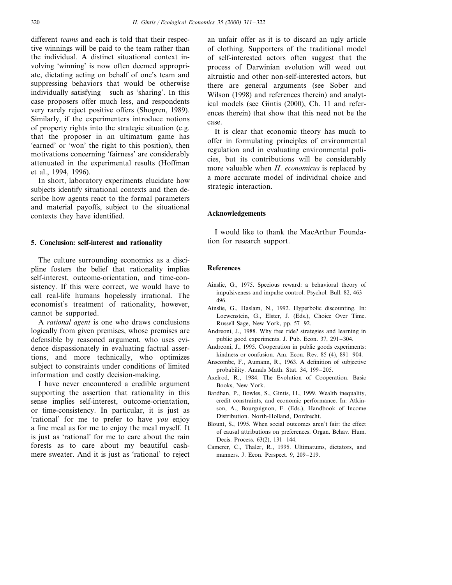different *teams* and each is told that their respective winnings will be paid to the team rather than the individual. A distinct situational context involving 'winning' is now often deemed appropriate, dictating acting on behalf of one's team and suppressing behaviors that would be otherwise individually satisfying—such as 'sharing'. In this case proposers offer much less, and respondents very rarely reject positive offers (Shogren, 1989). Similarly, if the experimenters introduce notions of property rights into the strategic situation (e.g. that the proposer in an ultimatum game has 'earned' or 'won' the right to this position), then motivations concerning 'fairness' are considerably attenuated in the experimental results (Hoffman et al., 1994, 1996).

In short, laboratory experiments elucidate how subjects identify situational contexts and then describe how agents react to the formal parameters and material payoffs, subject to the situational contexts they have identified.

## **5. Conclusion: self-interest and rationality**

The culture surrounding economics as a discipline fosters the belief that rationality implies self-interest, outcome-orientation, and time-consistency. If this were correct, we would have to call real-life humans hopelessly irrational. The economist's treatment of rationality, however, cannot be supported.

A *rational agent* is one who draws conclusions logically from given premises, whose premises are defensible by reasoned argument, who uses evidence dispassionately in evaluating factual assertions, and more technically, who optimizes subject to constraints under conditions of limited information and costly decision-making.

I have never encountered a credible argument supporting the assertion that rationality in this sense implies self-interest, outcome-orientation, or time-consistency. In particular, it is just as 'rational' for me to prefer to have *you* enjoy a fine meal as for me to enjoy the meal myself. It is just as 'rational' for me to care about the rain forests as to care about my beautiful cashmere sweater. And it is just as 'rational' to reject an unfair offer as it is to discard an ugly article of clothing. Supporters of the traditional model of self-interested actors often suggest that the process of Darwinian evolution will weed out altruistic and other non-self-interested actors, but there are general arguments (see Sober and Wilson (1998) and references therein) and analytical models (see Gintis (2000), Ch. 11 and references therein) that show that this need not be the case.

It is clear that economic theory has much to offer in formulating principles of environmental regulation and in evaluating environmental policies, but its contributions will be considerably more valuable when *H*. *economicus* is replaced by a more accurate model of individual choice and strategic interaction.

# **Acknowledgements**

I would like to thank the MacArthur Foundation for research support.

# **References**

- Ainslie, G., 1975. Specious reward: a behavioral theory of impulsiveness and impulse control. Psychol. Bull. 82, 463– 496.
- Ainslie, G., Haslam, N., 1992. Hyperbolic discounting. In: Loewenstein, G., Elster, J. (Eds.), Choice Over Time. Russell Sage, New York, pp. 57–92.
- Andreoni, J., 1988. Why free ride? strategies and learning in public good experiments. J. Pub. Econ. 37, 291–304.
- Andreoni, J., 1995. Cooperation in public goods experiments: kindness or confusion. Am. Econ. Rev. 85 (4), 891–904.
- Anscombe, F., Aumann, R., 1963. A definition of subjective probability. Annals Math. Stat. 34, 199–205.
- Axelrod, R., 1984. The Evolution of Cooperation. Basic Books, New York.
- Bardhan, P., Bowles, S., Gintis, H., 1999. Wealth inequality, credit constraints, and economic performance. In: Atkinson, A., Bourguignon, F. (Eds.), Handbook of Income Distribution. North-Holland, Dordrecht.
- Blount, S., 1995. When social outcomes aren't fair: the effect of causal attributions on preferences. Organ. Behav. Hum. Decis. Process. 63(2), 131–144.
- Camerer, C., Thaler, R., 1995. Ultimatums, dictators, and manners. J. Econ. Perspect. 9, 209–219.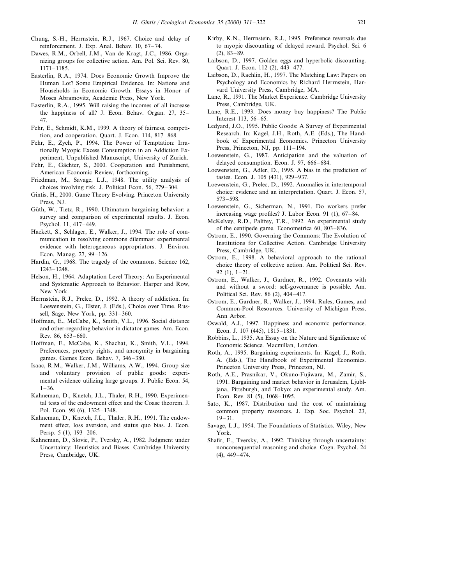- Chung, S.-H., Herrnstein, R.J., 1967. Choice and delay of reinforcement. J. Exp. Anal. Behav. 10, 67–74.
- Dawes, R.M., Orbell, J.M., Van de Kragt, J.C., 1986. Organizing groups for collective action. Am. Pol. Sci. Rev. 80, 1171–1185.
- Easterlin, R.A., 1974. Does Economic Growth Improve the Human Lot? Some Empirical Evidence. In: Nations and Households in Economic Growth: Essays in Honor of Moses Abramovitz, Academic Press, New York.
- Easterlin, R.A., 1995. Will raising the incomes of all increase the happiness of all? J. Econ. Behav. Organ. 27, 35– 47.
- Fehr, E., Schmidt, K.M., 1999. A theory of fairness, competition, and cooperation. Quart. J. Econ. 114, 817–868.
- Fehr, E., Zych, P., 1994. The Power of Temptation: Irrationally Myopic Excess Consumption in an Addiction Experiment, Unpublished Manuscript, University of Zurich.
- Fehr, E., Gächter, S., 2000. Cooperation and Punishment, American Economic Review, forthcoming.
- Friedman, M., Savage, L.J., 1948. The utility analysis of choices involving risk. J. Political Econ. 56, 279–304.
- Gintis, H., 2000. Game Theory Evolving. Princeton University Press, NJ.
- Güth, W., Tietz, R., 1990. Ultimatum bargaining behavior: a survey and comparison of experimental results. J. Econ. Psychol. 11, 417–449.
- Hackett, S., Schlager, E., Walker, J., 1994. The role of communication in resolving commons dilemmas: experimental evidence with heterogeneous appropriators. J. Environ. Econ. Manag. 27, 99–126.
- Hardin, G., 1968. The tragedy of the commons. Science 162, 1243–1248.
- Helson, H., 1964. Adaptation Level Theory: An Experimental and Systematic Approach to Behavior. Harper and Row, New York.
- Herrnstein, R.J., Prelec, D., 1992. A theory of addiction. In: Loewenstein, G., Elster, J. (Eds.), Choice over Time. Russell, Sage, New York, pp. 331–360.
- Hoffman, E., McCabe, K., Smith, V.L., 1996. Social distance and other-regarding behavior in dictator games. Am. Econ. Rev. 86, 653–660.
- Hoffman, E., McCabe, K., Shachat, K., Smith, V.L., 1994. Preferences, property rights, and anonymity in bargaining games. Games Econ. Behav. 7, 346–380.
- Isaac, R.M., Walker, J.M., Williams, A.W., 1994. Group size and voluntary provision of public goods: experimental evidence utilizing large groups. J. Public Econ. 54,  $1 - 36$ .
- Kahneman, D., Knetch, J.L., Thaler, R.H., 1990. Experimental tests of the endowment effect and the Coase theorem. J. Pol. Econ. 98 (6), 1325–1348.
- Kahneman, D., Knetch, J.L., Thaler, R.H., 1991. The endowment effect, loss aversion, and status quo bias. J. Econ. Persp. 5 (1), 193–206.
- Kahneman, D., Slovic, P., Tversky, A., 1982. Judgment under Uncertainty: Heuristics and Biases. Cambridge University Press, Cambridge, UK.
- Kirby, K.N., Herrnstein, R.J., 1995. Preference reversals due to myopic discounting of delayed reward. Psychol. Sci. 6  $(2), 83-89.$
- Laibson, D., 1997. Golden eggs and hyperbolic discounting. Quart. J. Econ. 112 (2), 443–477.
- Laibson, D., Rachlin, H., 1997. The Matching Law: Papers on Psychology and Economics by Richard Herrnstein, Harvard University Press, Cambridge, MA.
- Lane, R., 1991. The Market Experience. Cambridge University Press, Cambridge, UK.
- Lane, R.E., 1993. Does money buy happiness? The Public Interest 113, 56–65.
- Ledyard, J.O., 1995. Public Goods: A Survey of Experimental Research. In: Kagel, J.H., Roth, A.E. (Eds.), The Handbook of Experimental Economics. Princeton University Press, Princeton, NJ, pp. 111–194.
- Loewenstein, G., 1987. Anticipation and the valuation of delayed consumption. Econ. J. 97, 666–684.
- Loewenstein, G., Adler, D., 1995. A bias in the prediction of tastes. Econ. J. 105 (431), 929–937.
- Loewenstein, G., Prelec, D., 1992. Anomalies in intertemporal choice: evidence and an interpretation. Quart. J. Econ. 57, 573–598.
- Loewenstein, G., Sicherman, N., 1991. Do workers prefer increasing wage profiles? J. Labor Econ. 91 (1), 67–84.
- McKelvey, R.D., Palfrey, T.R., 1992. An experimental study of the centipede game. Econometrica 60, 803–836.
- Ostrom, E., 1990. Governing the Commons: The Evolution of Institutions for Collective Action. Cambridge University Press, Cambridge, UK.
- Ostrom, E., 1998. A behavioral approach to the rational choice theory of collective action. Am. Political Sci. Rev. 92 (1), 1–21.
- Ostrom, E., Walker, J., Gardner, R., 1992. Covenants with and without a sword: self-governance is possible. Am. Political Sci. Rev. 86 (2), 404–417.
- Ostrom, E., Gardner, R., Walker, J., 1994. Rules, Games, and Common-Pool Resources. University of Michigan Press, Ann Arbor.
- Oswald, A.J., 1997. Happiness and economic performance. Econ. J. 107 (445), 1815–1831.
- Robbins, L., 1935. An Essay on the Nature and Significance of Economic Science. Macmillan, London.
- Roth, A., 1995. Bargaining experiments. In: Kagel, J., Roth, A. (Eds.), The Handbook of Experimental Economics. Princeton University Press, Princeton, NJ.
- Roth, A.E., Prasnikar, V., Okuno-Fujiwara, M., Zamir, S., 1991. Bargaining and market behavior in Jerusalem, Ljubljana, Pittsburgh, and Tokyo: an experimental study. Am. Econ. Rev. 81 (5), 1068–1095.
- Sato, K., 1987. Distribution and the cost of maintaining common property resources. J. Exp. Soc. Psychol. 23, 19–31.
- Savage, L.J., 1954. The Foundations of Statistics. Wiley, New York.
- Shafir, E., Tversky, A., 1992. Thinking through uncertainty: nonconsequential reasoning and choice. Cogn. Psychol. 24 (4), 449–474.